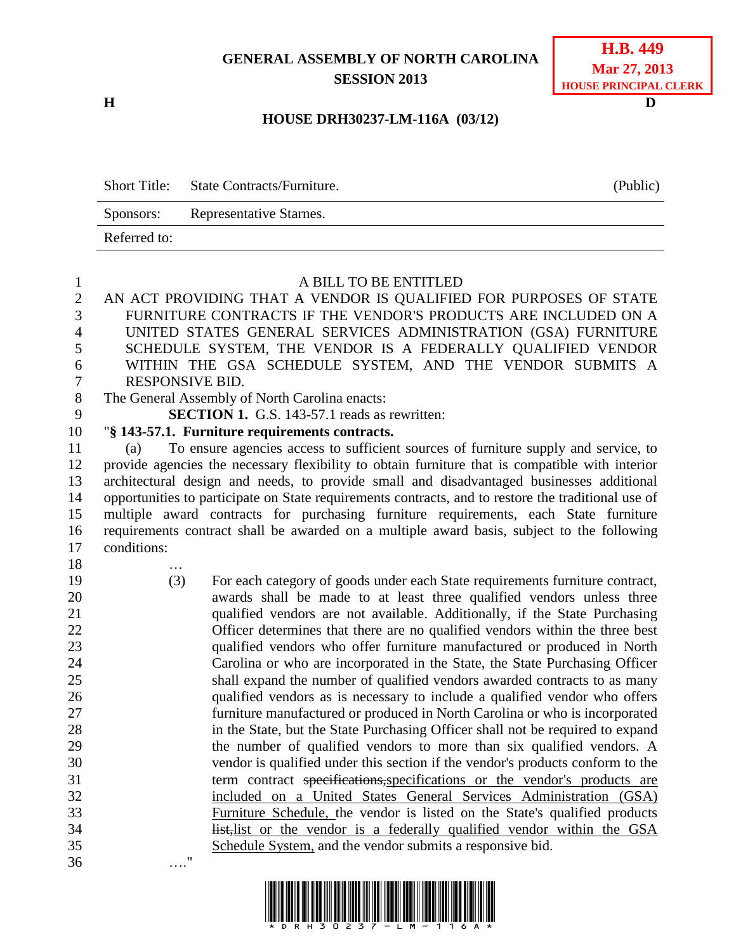## **GENERAL ASSEMBLY OF NORTH CAROLINA SESSION 2013**

**H D**

…."

## **H.B. 449 Mar 27, 2013 HOUSE PRINCIPAL CLERK**

## **HOUSE DRH30237-LM-116A (03/12)**

|              | Short Title: State Contracts/Furniture. | (Public) |
|--------------|-----------------------------------------|----------|
| Sponsors:    | Representative Starnes.                 |          |
| Referred to: |                                         |          |

## A BILL TO BE ENTITLED AN ACT PROVIDING THAT A VENDOR IS QUALIFIED FOR PURPOSES OF STATE FURNITURE CONTRACTS IF THE VENDOR'S PRODUCTS ARE INCLUDED ON A UNITED STATES GENERAL SERVICES ADMINISTRATION (GSA) FURNITURE SCHEDULE SYSTEM, THE VENDOR IS A FEDERALLY QUALIFIED VENDOR WITHIN THE GSA SCHEDULE SYSTEM, AND THE VENDOR SUBMITS A RESPONSIVE BID. The General Assembly of North Carolina enacts: **SECTION 1.** G.S. 143-57.1 reads as rewritten: "**§ 143-57.1. Furniture requirements contracts.** (a) To ensure agencies access to sufficient sources of furniture supply and service, to provide agencies the necessary flexibility to obtain furniture that is compatible with interior architectural design and needs, to provide small and disadvantaged businesses additional opportunities to participate on State requirements contracts, and to restore the traditional use of multiple award contracts for purchasing furniture requirements, each State furniture requirements contract shall be awarded on a multiple award basis, subject to the following conditions: … (3) For each category of goods under each State requirements furniture contract, awards shall be made to at least three qualified vendors unless three qualified vendors are not available. Additionally, if the State Purchasing Officer determines that there are no qualified vendors within the three best qualified vendors who offer furniture manufactured or produced in North Carolina or who are incorporated in the State, the State Purchasing Officer shall expand the number of qualified vendors awarded contracts to as many qualified vendors as is necessary to include a qualified vendor who offers furniture manufactured or produced in North Carolina or who is incorporated

 in the State, but the State Purchasing Officer shall not be required to expand the number of qualified vendors to more than six qualified vendors. A vendor is qualified under this section if the vendor's products conform to the 31 term contract specifications, specifications or the vendor's products are included on a United States General Services Administration (GSA) Furniture Schedule, the vendor is listed on the State's qualified products **list, list** or the vendor is a federally qualified vendor within the GSA

Schedule System, and the vendor submits a responsive bid.